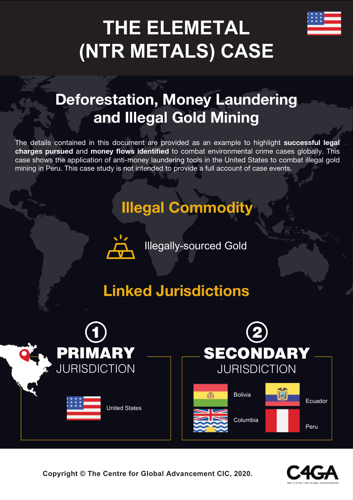# **THE ELEMETAL (NTR METALS) CASE**

# **Deforestation, Money Laundering and Illegal Gold Mining**

The details contained in this document are provided as an example to highlight **successful legal charges pursued** and **money flows identified** to combat environmental crime cases globally. This case shows the application of anti-money laundering tools in the United States to combat illegal gold mining in Peru. This case study is not intended to provide a full account of case events.

# **Illegal Commodity**



Illegally-sourced Gold

# **Linked Jurisdictions**





**Copyright © The Centre for Global Advancement CIC, 2020.**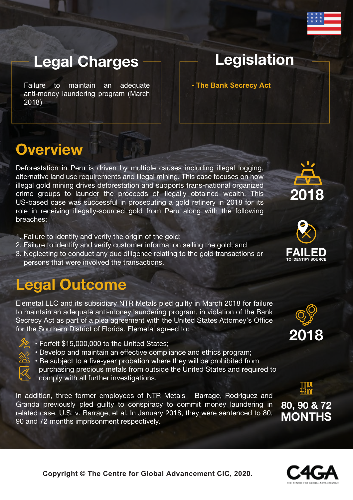

### **Legal Charges**

Failure to maintain an adequate anti-money laundering program (March 2018)

### **Legislation**

**- The Bank Secrecy Act**

#### **Overview**

Deforestation in Peru is driven by multiple causes including illegal logging. alternative land use requirements and illegal mining. This case focuses on how illegal gold mining drives deforestation and supports trans-national organized crime groups to launder the proceeds of illegally obtained wealth. This US-based case was successful in prosecuting a gold refinery in 2018 for its role in receiving illegally-sourced gold from Peru along with the following breaches:

- 1. Failure to identify and verify the origin of the gold;
- 2. Failure to identify and verify customer information selling the gold; and
- 3. Neglecting to conduct any due diligence relating to the gold transactions or persons that were involved the transactions.

## **Legal Outcome**

Elemetal LLC and its subsidiary NTR Metals pled guilty in March 2018 for failure to maintain an adequate anti-money laundering program, in violation of the Bank Secrecy Act as part of a plea agreement with the United States Attorney's Office for the Southern District of Florida. Elemetal agreed to:

- Forfeit \$15,000,000 to the United States;
- Develop and maintain an effective compliance and ethics program;



comply with all further investigations.

In addition, three former employees of NTR Metals - Barrage, Rodriguez and Granda previously pled guilty to conspiracy to commit money laundering in related case, U.S. v. Barrage, et al. In January 2018, they were sentenced to 80, 90 and 72 months imprisonment respectively.









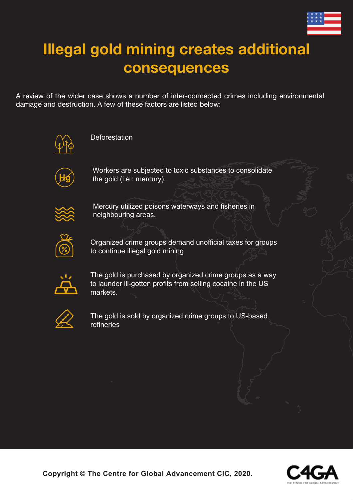

# **Illegal gold mining creates additional consequences**

A review of the wider case shows a number of inter-connected crimes including environmental damage and destruction. A few of these factors are listed below:



**Deforestation** 



Workers are subjected to toxic substances to consolidate the gold (i.e.: mercury).



Mercury utilized poisons waterways and fisheries in neighbouring areas.



Organized crime groups demand unofficial taxes for groups to continue illegal gold mining



The gold is purchased by organized crime groups as a way to launder ill-gotten profits from selling cocaine in the US markets.



The gold is sold by organized crime groups to US-based refineries